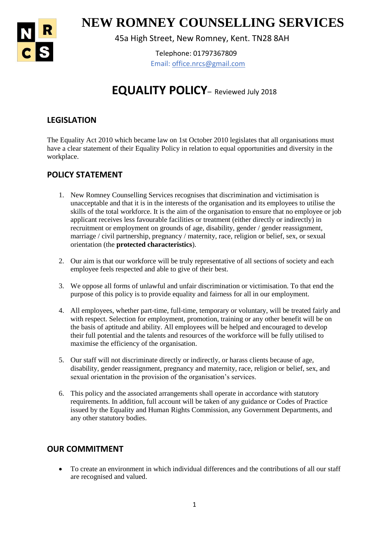

1 **NEW ROMNEY COUNSELLING SERVICES**

45a High Street, New Romney, Kent. TN28 8AH

Telephone: 01797367809 Email: office.nrcs@gmail.com

# **EQUALITY POLICY**– Reviewed July 2018

# **LEGISLATION**

The Equality Act 2010 which became law on 1st October 2010 legislates that all organisations must have a clear statement of their Equality Policy in relation to equal opportunities and diversity in the workplace.

## **POLICY STATEMENT**

- 1. New Romney Counselling Services recognises that discrimination and victimisation is unacceptable and that it is in the interests of the organisation and its employees to utilise the skills of the total workforce. It is the aim of the organisation to ensure that no employee or job applicant receives less favourable facilities or treatment (either directly or indirectly) in recruitment or employment on grounds of age, disability, gender / gender reassignment, marriage / civil partnership, pregnancy / maternity, race, religion or belief, sex, or sexual orientation (the **protected characteristics**).
- 2. Our aim is that our workforce will be truly representative of all sections of society and each employee feels respected and able to give of their best.
- 3. We oppose all forms of unlawful and unfair discrimination or victimisation. To that end the purpose of this policy is to provide equality and fairness for all in our employment.
- 4. All employees, whether part-time, full-time, temporary or voluntary, will be treated fairly and with respect. Selection for employment, promotion, training or any other benefit will be on the basis of aptitude and ability. All employees will be helped and encouraged to develop their full potential and the talents and resources of the workforce will be fully utilised to maximise the efficiency of the organisation.
- 5. Our staff will not discriminate directly or indirectly, or harass clients because of age, disability, gender reassignment, pregnancy and maternity, race, religion or belief, sex, and sexual orientation in the provision of the organisation's services.
- 6. This policy and the associated arrangements shall operate in accordance with statutory requirements. In addition, full account will be taken of any guidance or Codes of Practice issued by the Equality and Human Rights Commission, any Government Departments, and any other statutory bodies.

#### **OUR COMMITMENT**

 To create an environment in which individual differences and the contributions of all our staff are recognised and valued.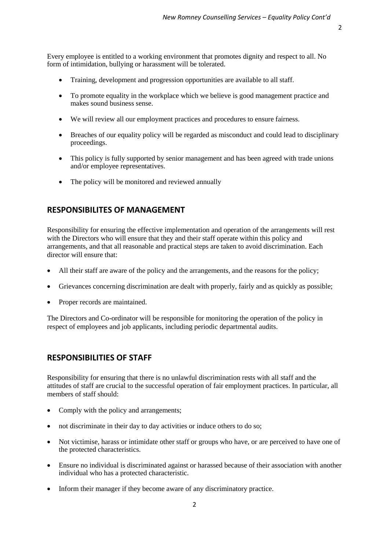Every employee is entitled to a working environment that promotes dignity and respect to all. No form of intimidation, bullying or harassment will be tolerated.

- Training, development and progression opportunities are available to all staff.
- To promote equality in the workplace which we believe is good management practice and makes sound business sense.
- We will review all our employment practices and procedures to ensure fairness.
- Breaches of our equality policy will be regarded as misconduct and could lead to disciplinary proceedings.
- This policy is fully supported by senior management and has been agreed with trade unions and/or employee representatives.
- The policy will be monitored and reviewed annually

#### **RESPONSIBILITES OF MANAGEMENT**

Responsibility for ensuring the effective implementation and operation of the arrangements will rest with the Directors who will ensure that they and their staff operate within this policy and arrangements, and that all reasonable and practical steps are taken to avoid discrimination. Each director will ensure that:

- All their staff are aware of the policy and the arrangements, and the reasons for the policy;
- Grievances concerning discrimination are dealt with properly, fairly and as quickly as possible;
- Proper records are maintained.

The Directors and Co-ordinator will be responsible for monitoring the operation of the policy in respect of employees and job applicants, including periodic departmental audits.

#### **RESPONSIBILITIES OF STAFF**

Responsibility for ensuring that there is no unlawful discrimination rests with all staff and the attitudes of staff are crucial to the successful operation of fair employment practices. In particular, all members of staff should:

- Comply with the policy and arrangements;
- not discriminate in their day to day activities or induce others to do so;
- Not victimise, harass or intimidate other staff or groups who have, or are perceived to have one of the protected characteristics.
- Ensure no individual is discriminated against or harassed because of their association with another individual who has a protected characteristic.
- Inform their manager if they become aware of any discriminatory practice.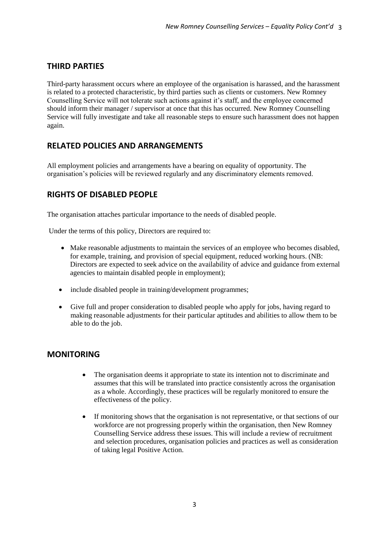## **THIRD PARTIES**

Third-party harassment occurs where an employee of the organisation is harassed, and the harassment is related to a protected characteristic, by third parties such as clients or customers. New Romney Counselling Service will not tolerate such actions against it's staff, and the employee concerned should inform their manager / supervisor at once that this has occurred. New Romney Counselling Service will fully investigate and take all reasonable steps to ensure such harassment does not happen again.

#### **RELATED POLICIES AND ARRANGEMENTS**

All employment policies and arrangements have a bearing on equality of opportunity. The organisation's policies will be reviewed regularly and any discriminatory elements removed.

## **RIGHTS OF DISABLED PEOPLE**

The organisation attaches particular importance to the needs of disabled people.

Under the terms of this policy, Directors are required to:

- Make reasonable adjustments to maintain the services of an employee who becomes disabled, for example, training, and provision of special equipment, reduced working hours. (NB: Directors are expected to seek advice on the availability of advice and guidance from external agencies to maintain disabled people in employment);
- include disabled people in training/development programmes;
- Give full and proper consideration to disabled people who apply for jobs, having regard to making reasonable adjustments for their particular aptitudes and abilities to allow them to be able to do the job.

#### **MONITORING**

- The organisation deems it appropriate to state its intention not to discriminate and assumes that this will be translated into practice consistently across the organisation as a whole. Accordingly, these practices will be regularly monitored to ensure the effectiveness of the policy.
- If monitoring shows that the organisation is not representative, or that sections of our workforce are not progressing properly within the organisation, then New Romney Counselling Service address these issues. This will include a review of recruitment and selection procedures, organisation policies and practices as well as consideration of taking legal Positive Action.